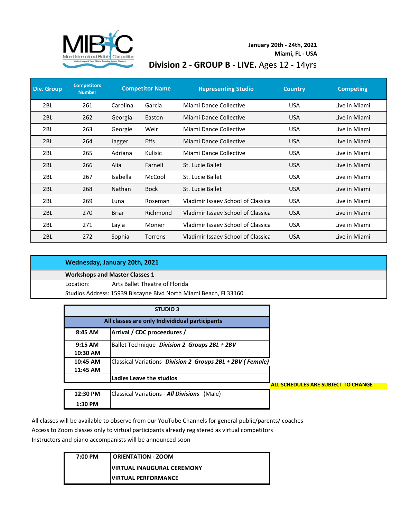

## **January 20th - 24th, 2021 Division 2 - GROUP B - LIVE.** Ages 12 - 14yrs **Miami, FL - USA**

| <b>Div. Group</b> | <b>Competitors</b><br><b>Number</b> |              | <b>Competitor Name</b> | <b>Representing Studio</b>         | <b>Country</b> | <b>Competing</b> |
|-------------------|-------------------------------------|--------------|------------------------|------------------------------------|----------------|------------------|
| 2 <sub>BL</sub>   | 261                                 | Carolina     | Garcia                 | Miami Dance Collective             | <b>USA</b>     | Live in Miami    |
| 2BL               | 262                                 | Georgia      | Easton                 | Miami Dance Collective             | <b>USA</b>     | Live in Miami    |
| 2 <sub>BL</sub>   | 263                                 | Georgie      | Weir                   | Miami Dance Collective             | <b>USA</b>     | Live in Miami    |
| 2BL               | 264                                 | Jagger       | Effs                   | Miami Dance Collective             | <b>USA</b>     | Live in Miami    |
| 2BL               | 265                                 | Adriana      | Kulisic                | Miami Dance Collective             | <b>USA</b>     | Live in Miami    |
| 2BL               | 266                                 | Alia         | Farnell                | St. Lucie Ballet                   | <b>USA</b>     | Live in Miami    |
| 2 <sub>BL</sub>   | 267                                 | Isabella     | McCool                 | St. Lucie Ballet                   | <b>USA</b>     | Live in Miami    |
| 2BL               | 268                                 | Nathan       | <b>Bock</b>            | St. Lucie Ballet                   | <b>USA</b>     | Live in Miami    |
| 2 <sub>BL</sub>   | 269                                 | Luna         | Roseman                | Vladimir Issaev School of Classica | <b>USA</b>     | Live in Miami    |
| 2BL               | 270                                 | <b>Briar</b> | Richmond               | Vladimir Issaev School of Classica | <b>USA</b>     | Live in Miami    |
| 2 <sub>BL</sub>   | 271                                 | Layla        | Monier                 | Vladimir Issaev School of Classica | <b>USA</b>     | Live in Miami    |
| 2 <sub>BL</sub>   | 272                                 | Sophia       | Torrens                | Vladimir Issaev School of Classica | <b>USA</b>     | Live in Miami    |

|           | Wednesday, January 20th, 2021                                    |
|-----------|------------------------------------------------------------------|
|           | <b>Workshops and Master Classes 1</b>                            |
| Location: | Arts Ballet Theatre of Florida                                   |
|           | Studios Address: 15939 Biscayne Blvd North Miami Beach, Fl 33160 |
|           |                                                                  |

| <b>STUDIO 3</b> |                                                            |                                            |
|-----------------|------------------------------------------------------------|--------------------------------------------|
|                 | All classes are only Individidual participants             |                                            |
| 8:45 AM         | Arrival / CDC proceedures /                                |                                            |
| $9:15$ AM       | Ballet Technique- Division 2 Groups 2BL + 2BV              |                                            |
| 10:30 AM        |                                                            |                                            |
| 10:45 AM        | Classical Variations- Division 2 Groups 2BL + 2BV (Female) |                                            |
| 11:45 AM        |                                                            |                                            |
|                 | Ladies Leave the studios                                   |                                            |
|                 |                                                            | <b>ALL SCHEDULES ARE SUBJECT TO CHANGE</b> |
| 12:30 PM        | <b>Classical Variations - All Divisions</b><br>(Male)      |                                            |
| $1:30$ PM       |                                                            |                                            |

All classes will be available to observe from our YouTube Channels for general public/parents/ coaches Access to Zoom classes only to virtual participants already registered as virtual competitors Instructors and piano accompanists will be announced soon

| 7:00 PM | ORIENTATION - ZOOM                |
|---------|-----------------------------------|
|         | <b>VIRTUAL INAUGURAL CEREMONY</b> |
|         | <b>VIRTUAL PERFORMANCE</b>        |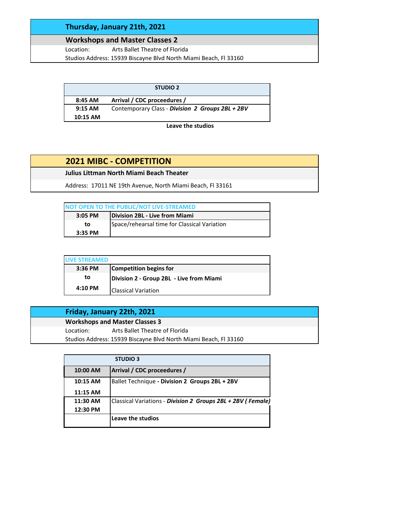### **Thursday, January 21th, 2021**

#### **Workshops and Master Classes 2**

Location: Arts Ballet Theatre of Florida Studios Address: 15939 Biscayne Blvd North Miami Beach, Fl 33160

|            | <b>STUDIO 2</b>                                  |
|------------|--------------------------------------------------|
| 8:45 AM    | Arrival / CDC proceedures /                      |
| $9:15$ AM  | Contemporary Class - Division 2 Groups 2BL + 2BV |
| $10:15$ AM |                                                  |

#### **Leave the studios**

# **2021 MIBC - COMPETITION**

**Julius Littman North Miami Beach Theater**

Address: 17011 NE 19th Avenue, North Miami Beach, Fl 33161

| NOT OPEN TO THE PUBLIC/NOT LIVE-STREAMED |                                              |  |
|------------------------------------------|----------------------------------------------|--|
| 3:05 PM                                  | Division 2BL - Live from Miami               |  |
| to                                       | Space/rehearsal time for Classical Variation |  |
| $3:35$ PM                                |                                              |  |

| <b>IVE STREAMED</b> |                                          |
|---------------------|------------------------------------------|
| $3:36$ PM           | Competition begins for                   |
| to                  | Division 2 - Group 2BL - Live from Miami |
| $4:10$ PM           | <b>Classical Variation</b>               |

|           | Friday, January 22th, 2021                                       |
|-----------|------------------------------------------------------------------|
|           | <b>Workshops and Master Classes 3</b>                            |
| Location: | Arts Ballet Theatre of Florida                                   |
|           | Studios Address: 15939 Biscayne Blvd North Miami Beach, FJ 33160 |

|            | <b>STUDIO 3</b>                                             |
|------------|-------------------------------------------------------------|
| 10:00 AM   | Arrival / CDC proceedures /                                 |
| $10:15$ AM | Ballet Technique - Division 2 Groups 2BL + 2BV              |
| 11:15 AM   |                                                             |
| 11:30 AM   | Classical Variations - Division 2 Groups 2BL + 2BV (Female) |
| 12:30 PM   |                                                             |
|            | Leave the studios                                           |